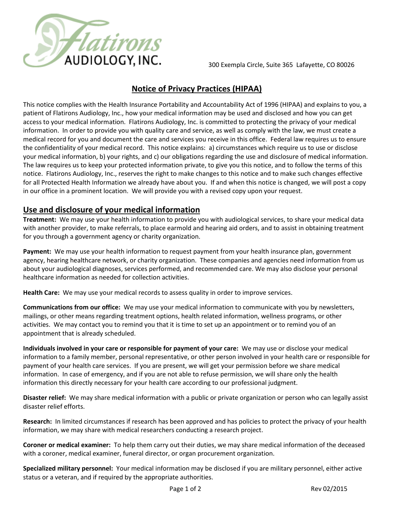

300 Exempla Circle, Suite 365 Lafayette, CO 80026

## **Notice of Privacy Practices (HIPAA)**

This notice complies with the Health Insurance Portability and Accountability Act of 1996 (HIPAA) and explains to you, a patient of Flatirons Audiology, Inc., how your medical information may be used and disclosed and how you can get access to your medical information. Flatirons Audiology, Inc. is committed to protecting the privacy of your medical information. In order to provide you with quality care and service, as well as comply with the law, we must create a medical record for you and document the care and services you receive in this office. Federal law requires us to ensure the confidentiality of your medical record. This notice explains: a) circumstances which require us to use or disclose your medical information, b) your rights, and c) our obligations regarding the use and disclosure of medical information. The law requires us to keep your protected information private, to give you this notice, and to follow the terms of this notice. Flatirons Audiology, Inc., reserves the right to make changes to this notice and to make such changes effective for all Protected Health Information we already have about you. If and when this notice is changed, we will post a copy in our office in a prominent location. We will provide you with a revised copy upon your request.

## **Use and disclosure of your medical information**

**Treatment:** We may use your health information to provide you with audiological services, to share your medical data with another provider, to make referrals, to place earmold and hearing aid orders, and to assist in obtaining treatment for you through a government agency or charity organization.

**Payment:** We may use your health information to request payment from your health insurance plan, government agency, hearing healthcare network, or charity organization. These companies and agencies need information from us about your audiological diagnoses, services performed, and recommended care. We may also disclose your personal healthcare information as needed for collection activities.

**Health Care:** We may use your medical records to assess quality in order to improve services.

**Communications from our office:** We may use your medical information to communicate with you by newsletters, mailings, or other means regarding treatment options, health related information, wellness programs, or other activities. We may contact you to remind you that it is time to set up an appointment or to remind you of an appointment that is already scheduled.

**Individuals involved in your care or responsible for payment of your care:** We may use or disclose your medical information to a family member, personal representative, or other person involved in your health care or responsible for payment of your health care services. If you are present, we will get your permission before we share medical information. In case of emergency, and if you are not able to refuse permission, we will share only the health information this directly necessary for your health care according to our professional judgment.

**Disaster relief:** We may share medical information with a public or private organization or person who can legally assist disaster relief efforts.

**Research:** In limited circumstances if research has been approved and has policies to protect the privacy of your health information, we may share with medical researchers conducting a research project.

**Coroner or medical examiner:** To help them carry out their duties, we may share medical information of the deceased with a coroner, medical examiner, funeral director, or organ procurement organization.

**Specialized military personnel:** Your medical information may be disclosed if you are military personnel, either active status or a veteran, and if required by the appropriate authorities.